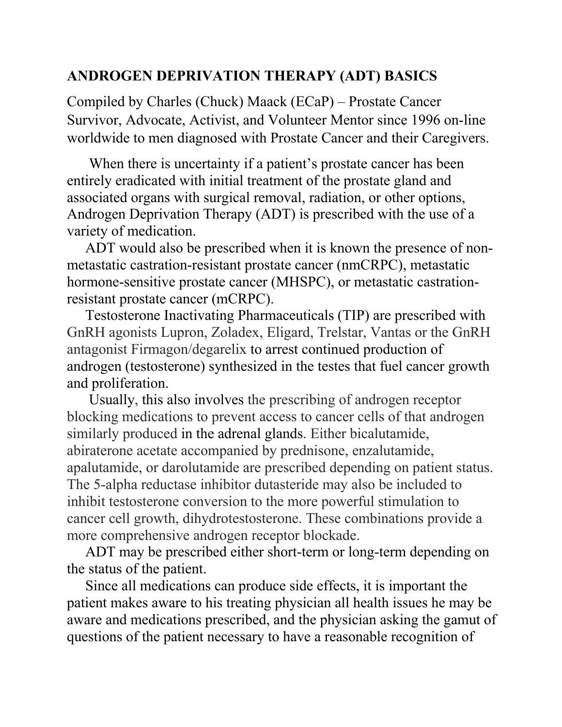## **ANDROGEN DEPRIVATION THERAPY (ADT) BASICS**

Compiled by Charles (Chuck) Maack (ECaP) – Prostate Cancer Survivor, Advocate, Activist, and Volunteer Mentor since 1996 on-line worldwide to men diagnosed with Prostate Cancer and their Caregivers.

 When there is uncertainty if a patient's prostate cancer has been entirely eradicated with initial treatment of the prostate gland and associated organs with surgical removal, radiation, or other options, Androgen Deprivation Therapy (ADT) is prescribed with the use of a variety of medication.

 ADT would also be prescribed when it is known the presence of nonmetastatic castration-resistant prostate cancer (nmCRPC), metastatic hormone-sensitive prostate cancer (MHSPC), or metastatic castrationresistant prostate cancer (mCRPC).

 Testosterone Inactivating Pharmaceuticals (TIP) are prescribed with GnRH agonists Lupron, Zoladex, Eligard, Trelstar, Vantas or the GnRH antagonist Firmagon/degarelix to arrest continued production of androgen (testosterone) synthesized in the testes that fuel cancer growth and proliferation.

 Usually, this also involves the prescribing of androgen receptor blocking medications to prevent access to cancer cells of that androgen similarly produced in the adrenal glands. Either bicalutamide, abiraterone acetate accompanied by prednisone, enzalutamide, apalutamide, or darolutamide are prescribed depending on patient status. The 5-alpha reductase inhibitor dutasteride may also be included to inhibit testosterone conversion to the more powerful stimulation to cancer cell growth, dihydrotestosterone. These combinations provide a more comprehensive androgen receptor blockade.

 ADT may be prescribed either short-term or long-term depending on the status of the patient.

 Since all medications can produce side effects, it is important the patient makes aware to his treating physician all health issues he may be aware and medications prescribed, and the physician asking the gamut of questions of the patient necessary to have a reasonable recognition of